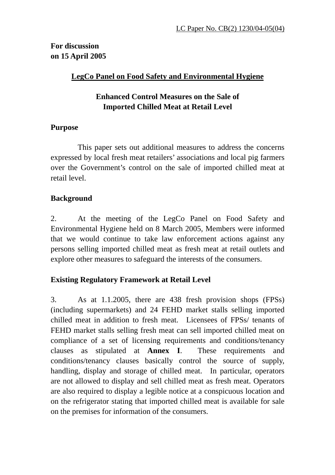**For discussion on 15 April 2005** 

## **LegCo Panel on Food Safety and Environmental Hygiene**

## **Enhanced Control Measures on the Sale of Imported Chilled Meat at Retail Level**

#### **Purpose**

This paper sets out additional measures to address the concerns expressed by local fresh meat retailers' associations and local pig farmers over the Government's control on the sale of imported chilled meat at retail level.

## **Background**

2. At the meeting of the LegCo Panel on Food Safety and Environmental Hygiene held on 8 March 2005, Members were informed that we would continue to take law enforcement actions against any persons selling imported chilled meat as fresh meat at retail outlets and explore other measures to safeguard the interests of the consumers.

## **Existing Regulatory Framework at Retail Level**

3. As at 1.1.2005, there are 438 fresh provision shops (FPSs) (including supermarkets) and 24 FEHD market stalls selling imported chilled meat in addition to fresh meat. Licensees of FPSs/ tenants of FEHD market stalls selling fresh meat can sell imported chilled meat on compliance of a set of licensing requirements and conditions/tenancy clauses as stipulated at **Annex I**. These requirements and conditions/tenancy clauses basically control the source of supply, handling, display and storage of chilled meat. In particular, operators are not allowed to display and sell chilled meat as fresh meat. Operators are also required to display a legible notice at a conspicuous location and on the refrigerator stating that imported chilled meat is available for sale on the premises for information of the consumers.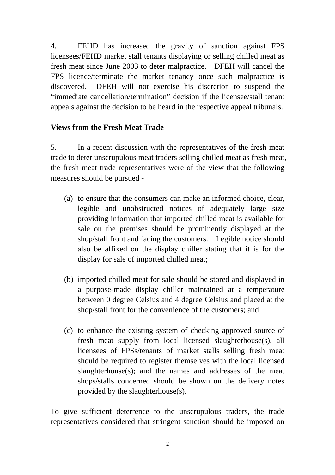4. FEHD has increased the gravity of sanction against FPS licensees/FEHD market stall tenants displaying or selling chilled meat as fresh meat since June 2003 to deter malpractice. DFEH will cancel the FPS licence/terminate the market tenancy once such malpractice is discovered. DFEH will not exercise his discretion to suspend the "immediate cancellation/termination" decision if the licensee/stall tenant appeals against the decision to be heard in the respective appeal tribunals.

#### **Views from the Fresh Meat Trade**

5. In a recent discussion with the representatives of the fresh meat trade to deter unscrupulous meat traders selling chilled meat as fresh meat, the fresh meat trade representatives were of the view that the following measures should be pursued -

- (a) to ensure that the consumers can make an informed choice, clear, legible and unobstructed notices of adequately large size providing information that imported chilled meat is available for sale on the premises should be prominently displayed at the shop/stall front and facing the customers. Legible notice should also be affixed on the display chiller stating that it is for the display for sale of imported chilled meat;
- (b) imported chilled meat for sale should be stored and displayed in a purpose-made display chiller maintained at a temperature between 0 degree Celsius and 4 degree Celsius and placed at the shop/stall front for the convenience of the customers; and
- (c) to enhance the existing system of checking approved source of fresh meat supply from local licensed slaughterhouse(s), all licensees of FPSs/tenants of market stalls selling fresh meat should be required to register themselves with the local licensed slaughterhouse(s); and the names and addresses of the meat shops/stalls concerned should be shown on the delivery notes provided by the slaughterhouse(s).

To give sufficient deterrence to the unscrupulous traders, the trade representatives considered that stringent sanction should be imposed on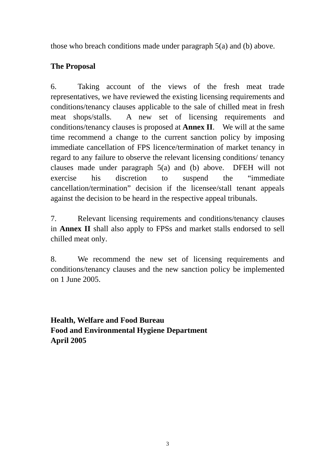those who breach conditions made under paragraph 5(a) and (b) above.

# **The Proposal**

6. Taking account of the views of the fresh meat trade representatives, we have reviewed the existing licensing requirements and conditions/tenancy clauses applicable to the sale of chilled meat in fresh meat shops/stalls.A new set of licensing requirements and conditions/tenancy clauses is proposed at **Annex II**. We will at the same time recommend a change to the current sanction policy by imposing immediate cancellation of FPS licence/termination of market tenancy in regard to any failure to observe the relevant licensing conditions/ tenancy clauses made under paragraph 5(a) and (b) above. DFEH will not exercise his discretion to suspend the "immediate cancellation/termination" decision if the licensee/stall tenant appeals against the decision to be heard in the respective appeal tribunals.

7. Relevant licensing requirements and conditions/tenancy clauses in **Annex II** shall also apply to FPSs and market stalls endorsed to sell chilled meat only.

8. We recommend the new set of licensing requirements and conditions/tenancy clauses and the new sanction policy be implemented on 1 June 2005.

**Health, Welfare and Food Bureau Food and Environmental Hygiene Department April 2005**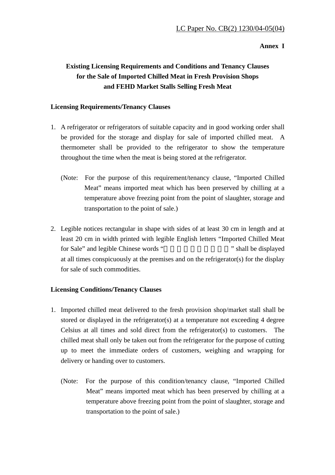#### **Annex I**

## **Existing Licensing Requirements and Conditions and Tenancy Clauses for the Sale of Imported Chilled Meat in Fresh Provision Shops and FEHD Market Stalls Selling Fresh Meat**

#### **Licensing Requirements/Tenancy Clauses**

- 1. A refrigerator or refrigerators of suitable capacity and in good working order shall be provided for the storage and display for sale of imported chilled meat. A thermometer shall be provided to the refrigerator to show the temperature throughout the time when the meat is being stored at the refrigerator.
	- (Note: For the purpose of this requirement/tenancy clause, "Imported Chilled Meat" means imported meat which has been preserved by chilling at a temperature above freezing point from the point of slaughter, storage and transportation to the point of sale.)
- 2. Legible notices rectangular in shape with sides of at least 30 cm in length and at least 20 cm in width printed with legible English letters "Imported Chilled Meat for Sale" and legible Chinese words "  $\blacksquare$ " shall be displayed at all times conspicuously at the premises and on the refrigerator(s) for the display for sale of such commodities.

#### **Licensing Conditions/Tenancy Clauses**

- 1. Imported chilled meat delivered to the fresh provision shop/market stall shall be stored or displayed in the refrigerator(s) at a temperature not exceeding 4 degree Celsius at all times and sold direct from the refrigerator(s) to customers. The chilled meat shall only be taken out from the refrigerator for the purpose of cutting up to meet the immediate orders of customers, weighing and wrapping for delivery or handing over to customers.
	- (Note: For the purpose of this condition/tenancy clause, "Imported Chilled Meat" means imported meat which has been preserved by chilling at a temperature above freezing point from the point of slaughter, storage and transportation to the point of sale.)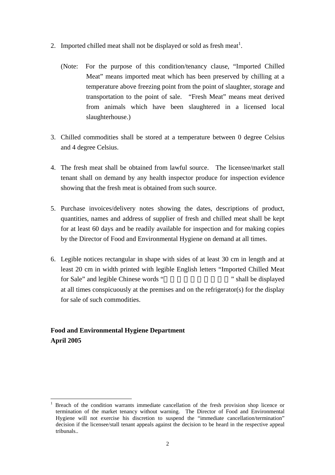- 2. Imported chilled meat shall not be displayed or sold as fresh meat<sup>1</sup>.
	- (Note: For the purpose of this condition/tenancy clause, "Imported Chilled Meat" means imported meat which has been preserved by chilling at a temperature above freezing point from the point of slaughter, storage and transportation to the point of sale. "Fresh Meat" means meat derived from animals which have been slaughtered in a licensed local slaughterhouse.)
- 3. Chilled commodities shall be stored at a temperature between 0 degree Celsius and 4 degree Celsius.
- 4. The fresh meat shall be obtained from lawful source. The licensee/market stall tenant shall on demand by any health inspector produce for inspection evidence showing that the fresh meat is obtained from such source.
- 5. Purchase invoices/delivery notes showing the dates, descriptions of product, quantities, names and address of supplier of fresh and chilled meat shall be kept for at least 60 days and be readily available for inspection and for making copies by the Director of Food and Environmental Hygiene on demand at all times.
- 6. Legible notices rectangular in shape with sides of at least 30 cm in length and at least 20 cm in width printed with legible English letters "Imported Chilled Meat for Sale" and legible Chinese words "  $\blacksquare$ " shall be displayed at all times conspicuously at the premises and on the refrigerator(s) for the display for sale of such commodities.

#### **Food and Environmental Hygiene Department April 2005**

 $\overline{a}$ 

<sup>1</sup> Breach of the condition warrants immediate cancellation of the fresh provision shop licence or termination of the market tenancy without warning. The Director of Food and Environmental Hygiene will not exercise his discretion to suspend the "immediate cancellation/termination" decision if the licensee/stall tenant appeals against the decision to be heard in the respective appeal tribunals..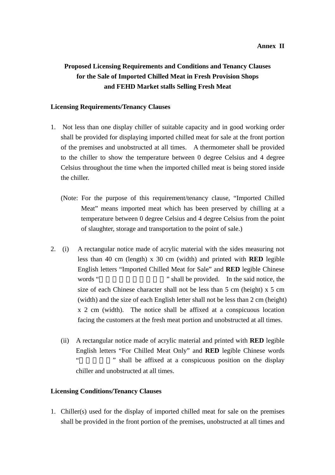#### **Annex II**

## **Proposed Licensing Requirements and Conditions and Tenancy Clauses for the Sale of Imported Chilled Meat in Fresh Provision Shops and FEHD Market stalls Selling Fresh Meat**

#### **Licensing Requirements/Tenancy Clauses**

- 1. Not less than one display chiller of suitable capacity and in good working order shall be provided for displaying imported chilled meat for sale at the front portion of the premises and unobstructed at all times. A thermometer shall be provided to the chiller to show the temperature between 0 degree Celsius and 4 degree Celsius throughout the time when the imported chilled meat is being stored inside the chiller.
	- (Note: For the purpose of this requirement/tenancy clause, "Imported Chilled Meat" means imported meat which has been preserved by chilling at a temperature between 0 degree Celsius and 4 degree Celsius from the point of slaughter, storage and transportation to the point of sale.)
- 2. (i) A rectangular notice made of acrylic material with the sides measuring not less than 40 cm (length) x 30 cm (width) and printed with **RED** legible English letters "Imported Chilled Meat for Sale" and **RED** legible Chinese words " $\ldots$ " shall be provided. In the said notice, the size of each Chinese character shall not be less than 5 cm (height) x 5 cm (width) and the size of each English letter shall not be less than 2 cm (height) x 2 cm (width). The notice shall be affixed at a conspicuous location facing the customers at the fresh meat portion and unobstructed at all times.
	- (ii) A rectangular notice made of acrylic material and printed with **RED** legible English letters "For Chilled Meat Only" and **RED** legible Chinese words " whall be affixed at a conspicuous position on the display chiller and unobstructed at all times.

#### **Licensing Conditions/Tenancy Clauses**

1. Chiller(s) used for the display of imported chilled meat for sale on the premises shall be provided in the front portion of the premises, unobstructed at all times and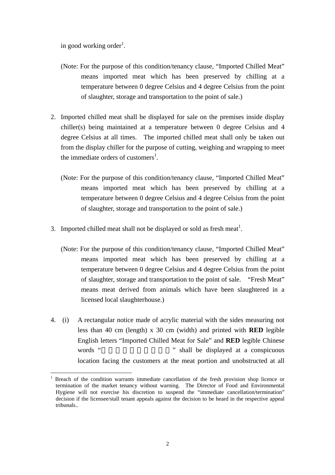in good working order<sup>1</sup>.

 $\overline{a}$ 

- (Note: For the purpose of this condition/tenancy clause, "Imported Chilled Meat" means imported meat which has been preserved by chilling at a temperature between 0 degree Celsius and 4 degree Celsius from the point of slaughter, storage and transportation to the point of sale.)
- 2. Imported chilled meat shall be displayed for sale on the premises inside display chiller(s) being maintained at a temperature between 0 degree Celsius and 4 degree Celsius at all times. The imported chilled meat shall only be taken out from the display chiller for the purpose of cutting, weighing and wrapping to meet the immediate orders of customers<sup>1</sup>.
	- (Note: For the purpose of this condition/tenancy clause, "Imported Chilled Meat" means imported meat which has been preserved by chilling at a temperature between 0 degree Celsius and 4 degree Celsius from the point of slaughter, storage and transportation to the point of sale.)
- 3. Imported chilled meat shall not be displayed or sold as fresh meat<sup>1</sup>.
	- (Note: For the purpose of this condition/tenancy clause, "Imported Chilled Meat" means imported meat which has been preserved by chilling at a temperature between 0 degree Celsius and 4 degree Celsius from the point of slaughter, storage and transportation to the point of sale. "Fresh Meat" means meat derived from animals which have been slaughtered in a licensed local slaughterhouse.)
- 4. (i) A rectangular notice made of acrylic material with the sides measuring not less than 40 cm (length) x 30 cm (width) and printed with **RED** legible English letters "Imported Chilled Meat for Sale" and **RED** legible Chinese words "  $\ldots$  " shall be displayed at a conspicuous location facing the customers at the meat portion and unobstructed at all

<sup>1</sup> Breach of the condition warrants immediate cancellation of the fresh provision shop licence or termination of the market tenancy without warning. The Director of Food and Environmental Hygiene will not exercise his discretion to suspend the "immediate cancellation/termination" decision if the licensee/stall tenant appeals against the decision to be heard in the respective appeal tribunals..